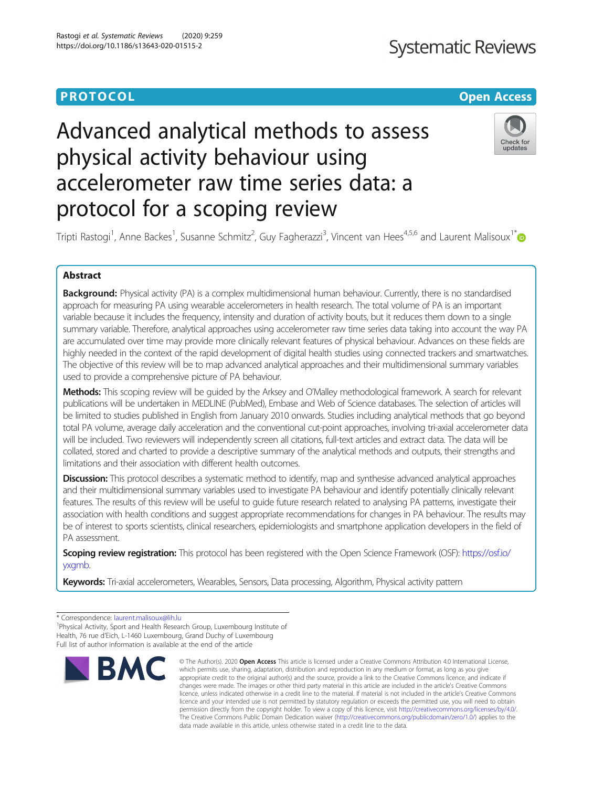# **PROTOCOL CONSUMING THE CONSUMING TEACHER CONSUMING THE CONSUMING TEACHER CONSUMING THE CONSUMING TEACHER CONSUMING**

# **Systematic Reviews**

# Advanced analytical methods to assess physical activity behaviour using accelerometer raw time series data: a protocol for a scoping review



Tripti Rastogi<sup>1</sup>, Anne Backes<sup>1</sup>, Susanne Schmitz<sup>2</sup>, Guy Fagherazzi<sup>3</sup>, Vincent van Hees<sup>4,5,6</sup> and Laurent Malisoux<sup>1\*</sup>

# Abstract

Background: Physical activity (PA) is a complex multidimensional human behaviour. Currently, there is no standardised approach for measuring PA using wearable accelerometers in health research. The total volume of PA is an important variable because it includes the frequency, intensity and duration of activity bouts, but it reduces them down to a single summary variable. Therefore, analytical approaches using accelerometer raw time series data taking into account the way PA are accumulated over time may provide more clinically relevant features of physical behaviour. Advances on these fields are highly needed in the context of the rapid development of digital health studies using connected trackers and smartwatches. The objective of this review will be to map advanced analytical approaches and their multidimensional summary variables used to provide a comprehensive picture of PA behaviour.

Methods: This scoping review will be quided by the Arksey and O'Malley methodological framework. A search for relevant publications will be undertaken in MEDLINE (PubMed), Embase and Web of Science databases. The selection of articles will be limited to studies published in English from January 2010 onwards. Studies including analytical methods that go beyond total PA volume, average daily acceleration and the conventional cut-point approaches, involving tri-axial accelerometer data will be included. Two reviewers will independently screen all citations, full-text articles and extract data. The data will be collated, stored and charted to provide a descriptive summary of the analytical methods and outputs, their strengths and limitations and their association with different health outcomes.

Discussion: This protocol describes a systematic method to identify, map and synthesise advanced analytical approaches and their multidimensional summary variables used to investigate PA behaviour and identify potentially clinically relevant features. The results of this review will be useful to guide future research related to analysing PA patterns, investigate their association with health conditions and suggest appropriate recommendations for changes in PA behaviour. The results may be of interest to sports scientists, clinical researchers, epidemiologists and smartphone application developers in the field of PA assessment.

Scoping review registration: This protocol has been registered with the Open Science Framework (OSF): [https://osf.io/](https://osf.io/yxgmb) [yxgmb](https://osf.io/yxgmb).

Keywords: Tri-axial accelerometers, Wearables, Sensors, Data processing, Algorithm, Physical activity pattern

\* Correspondence: [laurent.malisoux@lih.lu](mailto:laurent.malisoux@lih.lu) <sup>1</sup>

<sup>1</sup>Physical Activity, Sport and Health Research Group, Luxembourg Institute of Health, 76 rue d'Eich, L-1460 Luxembourg, Grand Duchy of Luxembourg Full list of author information is available at the end of the article



<sup>©</sup> The Author(s), 2020 **Open Access** This article is licensed under a Creative Commons Attribution 4.0 International License, which permits use, sharing, adaptation, distribution and reproduction in any medium or format, as long as you give appropriate credit to the original author(s) and the source, provide a link to the Creative Commons licence, and indicate if changes were made. The images or other third party material in this article are included in the article's Creative Commons licence, unless indicated otherwise in a credit line to the material. If material is not included in the article's Creative Commons licence and your intended use is not permitted by statutory regulation or exceeds the permitted use, you will need to obtain permission directly from the copyright holder. To view a copy of this licence, visit [http://creativecommons.org/licenses/by/4.0/.](http://creativecommons.org/licenses/by/4.0/) The Creative Commons Public Domain Dedication waiver [\(http://creativecommons.org/publicdomain/zero/1.0/](http://creativecommons.org/publicdomain/zero/1.0/)) applies to the data made available in this article, unless otherwise stated in a credit line to the data.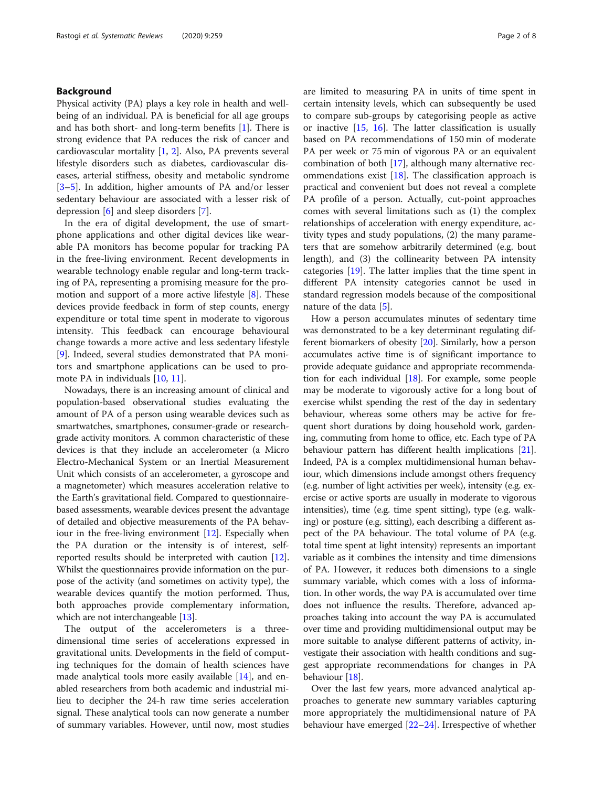### Background

Physical activity (PA) plays a key role in health and wellbeing of an individual. PA is beneficial for all age groups and has both short- and long-term benefits [[1\]](#page-6-0). There is strong evidence that PA reduces the risk of cancer and cardiovascular mortality [[1,](#page-6-0) [2](#page-6-0)]. Also, PA prevents several lifestyle disorders such as diabetes, cardiovascular diseases, arterial stiffness, obesity and metabolic syndrome [[3](#page-6-0)–[5\]](#page-6-0). In addition, higher amounts of PA and/or lesser sedentary behaviour are associated with a lesser risk of depression [\[6](#page-6-0)] and sleep disorders [\[7](#page-6-0)].

In the era of digital development, the use of smartphone applications and other digital devices like wearable PA monitors has become popular for tracking PA in the free-living environment. Recent developments in wearable technology enable regular and long-term tracking of PA, representing a promising measure for the promotion and support of a more active lifestyle [\[8](#page-6-0)]. These devices provide feedback in form of step counts, energy expenditure or total time spent in moderate to vigorous intensity. This feedback can encourage behavioural change towards a more active and less sedentary lifestyle [[9\]](#page-6-0). Indeed, several studies demonstrated that PA monitors and smartphone applications can be used to promote PA in individuals [\[10,](#page-6-0) [11\]](#page-6-0).

Nowadays, there is an increasing amount of clinical and population-based observational studies evaluating the amount of PA of a person using wearable devices such as smartwatches, smartphones, consumer-grade or researchgrade activity monitors. A common characteristic of these devices is that they include an accelerometer (a Micro Electro-Mechanical System or an Inertial Measurement Unit which consists of an accelerometer, a gyroscope and a magnetometer) which measures acceleration relative to the Earth's gravitational field. Compared to questionnairebased assessments, wearable devices present the advantage of detailed and objective measurements of the PA behaviour in the free-living environment [\[12](#page-6-0)]. Especially when the PA duration or the intensity is of interest, selfreported results should be interpreted with caution [[12](#page-6-0)]. Whilst the questionnaires provide information on the purpose of the activity (and sometimes on activity type), the wearable devices quantify the motion performed. Thus, both approaches provide complementary information, which are not interchangeable [\[13\]](#page-6-0).

The output of the accelerometers is a threedimensional time series of accelerations expressed in gravitational units. Developments in the field of computing techniques for the domain of health sciences have made analytical tools more easily available [[14\]](#page-6-0), and enabled researchers from both academic and industrial milieu to decipher the 24-h raw time series acceleration signal. These analytical tools can now generate a number of summary variables. However, until now, most studies are limited to measuring PA in units of time spent in certain intensity levels, which can subsequently be used to compare sub-groups by categorising people as active or inactive [[15,](#page-6-0) [16\]](#page-6-0). The latter classification is usually based on PA recommendations of 150 min of moderate PA per week or 75 min of vigorous PA or an equivalent combination of both [[17\]](#page-6-0), although many alternative recommendations exist [\[18](#page-6-0)]. The classification approach is practical and convenient but does not reveal a complete PA profile of a person. Actually, cut-point approaches comes with several limitations such as (1) the complex relationships of acceleration with energy expenditure, activity types and study populations, (2) the many parameters that are somehow arbitrarily determined (e.g. bout length), and (3) the collinearity between PA intensity categories [[19\]](#page-6-0). The latter implies that the time spent in different PA intensity categories cannot be used in standard regression models because of the compositional nature of the data [\[5\]](#page-6-0).

How a person accumulates minutes of sedentary time was demonstrated to be a key determinant regulating different biomarkers of obesity [\[20\]](#page-6-0). Similarly, how a person accumulates active time is of significant importance to provide adequate guidance and appropriate recommendation for each individual [[18\]](#page-6-0). For example, some people may be moderate to vigorously active for a long bout of exercise whilst spending the rest of the day in sedentary behaviour, whereas some others may be active for frequent short durations by doing household work, gardening, commuting from home to office, etc. Each type of PA behaviour pattern has different health implications [[21](#page-6-0)]. Indeed, PA is a complex multidimensional human behaviour, which dimensions include amongst others frequency (e.g. number of light activities per week), intensity (e.g. exercise or active sports are usually in moderate to vigorous intensities), time (e.g. time spent sitting), type (e.g. walking) or posture (e.g. sitting), each describing a different aspect of the PA behaviour. The total volume of PA (e.g. total time spent at light intensity) represents an important variable as it combines the intensity and time dimensions of PA. However, it reduces both dimensions to a single summary variable, which comes with a loss of information. In other words, the way PA is accumulated over time does not influence the results. Therefore, advanced approaches taking into account the way PA is accumulated over time and providing multidimensional output may be more suitable to analyse different patterns of activity, investigate their association with health conditions and suggest appropriate recommendations for changes in PA behaviour [\[18\]](#page-6-0).

Over the last few years, more advanced analytical approaches to generate new summary variables capturing more appropriately the multidimensional nature of PA behaviour have emerged [[22](#page-6-0)–[24](#page-6-0)]. Irrespective of whether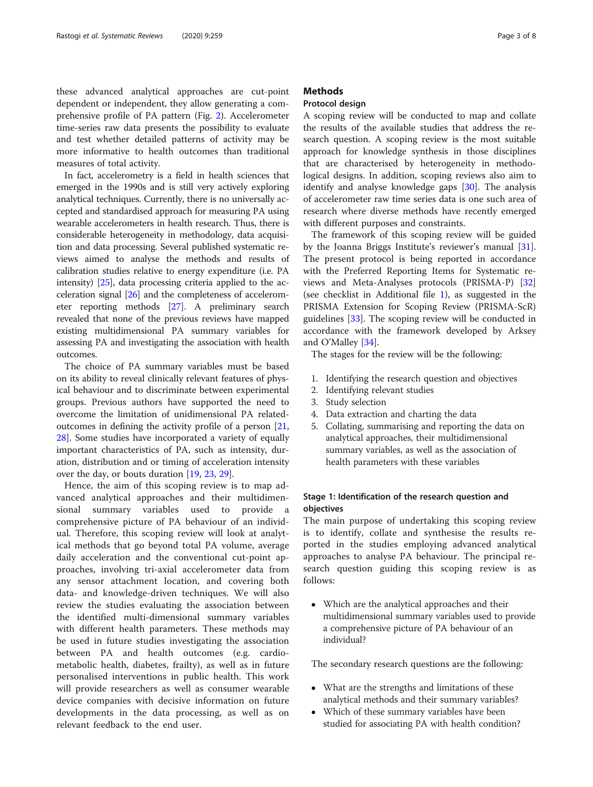these advanced analytical approaches are cut-point dependent or independent, they allow generating a comprehensive profile of PA pattern (Fig. [2\)](#page-4-0). Accelerometer time-series raw data presents the possibility to evaluate and test whether detailed patterns of activity may be more informative to health outcomes than traditional measures of total activity.

In fact, accelerometry is a field in health sciences that emerged in the 1990s and is still very actively exploring analytical techniques. Currently, there is no universally accepted and standardised approach for measuring PA using wearable accelerometers in health research. Thus, there is considerable heterogeneity in methodology, data acquisition and data processing. Several published systematic reviews aimed to analyse the methods and results of calibration studies relative to energy expenditure (i.e. PA intensity) [[25](#page-6-0)], data processing criteria applied to the acceleration signal [\[26\]](#page-6-0) and the completeness of accelerometer reporting methods [\[27\]](#page-7-0). A preliminary search revealed that none of the previous reviews have mapped existing multidimensional PA summary variables for assessing PA and investigating the association with health outcomes.

The choice of PA summary variables must be based on its ability to reveal clinically relevant features of physical behaviour and to discriminate between experimental groups. Previous authors have supported the need to overcome the limitation of unidimensional PA relatedoutcomes in defining the activity profile of a person [[21](#page-6-0), [28\]](#page-7-0). Some studies have incorporated a variety of equally important characteristics of PA, such as intensity, duration, distribution and or timing of acceleration intensity over the day, or bouts duration [\[19](#page-6-0), [23](#page-6-0), [29](#page-7-0)].

Hence, the aim of this scoping review is to map advanced analytical approaches and their multidimensional summary variables used to provide a comprehensive picture of PA behaviour of an individual. Therefore, this scoping review will look at analytical methods that go beyond total PA volume, average daily acceleration and the conventional cut-point approaches, involving tri-axial accelerometer data from any sensor attachment location, and covering both data- and knowledge-driven techniques. We will also review the studies evaluating the association between the identified multi-dimensional summary variables with different health parameters. These methods may be used in future studies investigating the association between PA and health outcomes (e.g. cardiometabolic health, diabetes, frailty), as well as in future personalised interventions in public health. This work will provide researchers as well as consumer wearable device companies with decisive information on future developments in the data processing, as well as on relevant feedback to the end user.

# **Methods**

# Protocol design

A scoping review will be conducted to map and collate the results of the available studies that address the research question. A scoping review is the most suitable approach for knowledge synthesis in those disciplines that are characterised by heterogeneity in methodological designs. In addition, scoping reviews also aim to identify and analyse knowledge gaps [[30\]](#page-7-0). The analysis of accelerometer raw time series data is one such area of research where diverse methods have recently emerged with different purposes and constraints.

The framework of this scoping review will be guided by the Joanna Briggs Institute's reviewer's manual [\[31](#page-7-0)]. The present protocol is being reported in accordance with the Preferred Reporting Items for Systematic reviews and Meta-Analyses protocols (PRISMA-P) [[32](#page-7-0)] (see checklist in Additional file [1\)](#page-5-0), as suggested in the PRISMA Extension for Scoping Review (PRISMA-ScR) guidelines [\[33\]](#page-7-0). The scoping review will be conducted in accordance with the framework developed by Arksey and O'Malley [[34\]](#page-7-0).

The stages for the review will be the following:

- 1. Identifying the research question and objectives
- 2. Identifying relevant studies
- 3. Study selection
- 4. Data extraction and charting the data
- 5. Collating, summarising and reporting the data on analytical approaches, their multidimensional summary variables, as well as the association of health parameters with these variables

## Stage 1: Identification of the research question and objectives

The main purpose of undertaking this scoping review is to identify, collate and synthesise the results reported in the studies employing advanced analytical approaches to analyse PA behaviour. The principal research question guiding this scoping review is as follows:

 Which are the analytical approaches and their multidimensional summary variables used to provide a comprehensive picture of PA behaviour of an individual?

The secondary research questions are the following:

- What are the strengths and limitations of these analytical methods and their summary variables?
- Which of these summary variables have been studied for associating PA with health condition?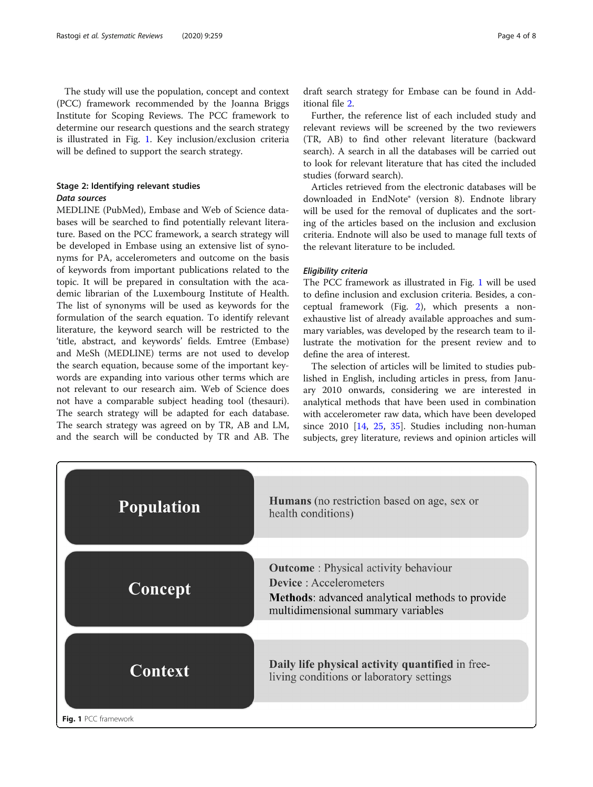The study will use the population, concept and context (PCC) framework recommended by the Joanna Briggs Institute for Scoping Reviews. The PCC framework to determine our research questions and the search strategy is illustrated in Fig. 1. Key inclusion/exclusion criteria will be defined to support the search strategy.

# Stage 2: Identifying relevant studies Data sources

MEDLINE (PubMed), Embase and Web of Science databases will be searched to find potentially relevant literature. Based on the PCC framework, a search strategy will be developed in Embase using an extensive list of synonyms for PA, accelerometers and outcome on the basis of keywords from important publications related to the topic. It will be prepared in consultation with the academic librarian of the Luxembourg Institute of Health. The list of synonyms will be used as keywords for the formulation of the search equation. To identify relevant literature, the keyword search will be restricted to the 'title, abstract, and keywords' fields. Emtree (Embase) and MeSh (MEDLINE) terms are not used to develop the search equation, because some of the important keywords are expanding into various other terms which are not relevant to our research aim. Web of Science does not have a comparable subject heading tool (thesauri). The search strategy will be adapted for each database. The search strategy was agreed on by TR, AB and LM, and the search will be conducted by TR and AB. The

draft search strategy for Embase can be found in Additional file [2.](#page-5-0)

Further, the reference list of each included study and relevant reviews will be screened by the two reviewers (TR, AB) to find other relevant literature (backward search). A search in all the databases will be carried out to look for relevant literature that has cited the included studies (forward search).

Articles retrieved from the electronic databases will be downloaded in EndNote® (version 8). Endnote library will be used for the removal of duplicates and the sorting of the articles based on the inclusion and exclusion criteria. Endnote will also be used to manage full texts of the relevant literature to be included.

### Eligibility criteria

The PCC framework as illustrated in Fig. 1 will be used to define inclusion and exclusion criteria. Besides, a conceptual framework (Fig. [2](#page-4-0)), which presents a nonexhaustive list of already available approaches and summary variables, was developed by the research team to illustrate the motivation for the present review and to define the area of interest.

The selection of articles will be limited to studies published in English, including articles in press, from January 2010 onwards, considering we are interested in analytical methods that have been used in combination with accelerometer raw data, which have been developed since 2010 [\[14](#page-6-0), [25](#page-6-0), [35](#page-7-0)]. Studies including non-human subjects, grey literature, reviews and opinion articles will

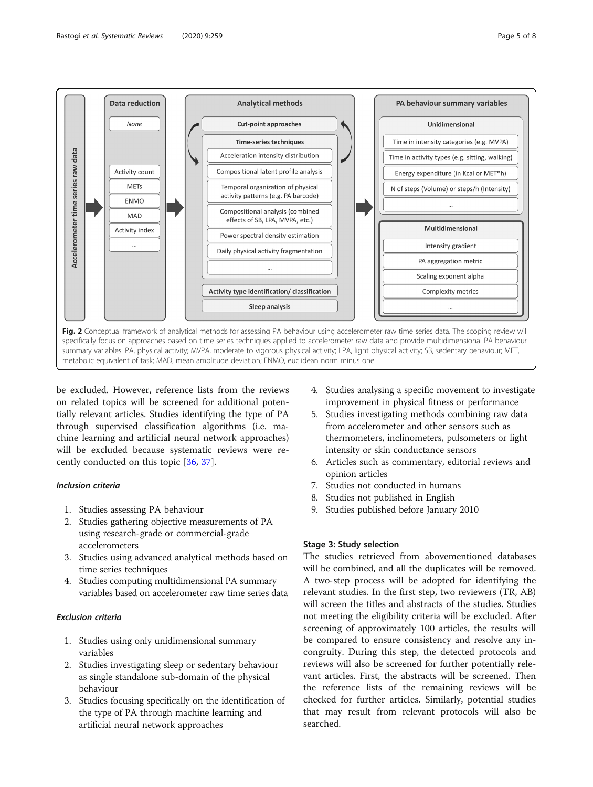<span id="page-4-0"></span>

be excluded. However, reference lists from the reviews on related topics will be screened for additional potentially relevant articles. Studies identifying the type of PA through supervised classification algorithms (i.e. machine learning and artificial neural network approaches) will be excluded because systematic reviews were recently conducted on this topic [\[36](#page-7-0), [37](#page-7-0)].

# Inclusion criteria

- 1. Studies assessing PA behaviour
- 2. Studies gathering objective measurements of PA using research-grade or commercial-grade accelerometers
- 3. Studies using advanced analytical methods based on time series techniques
- 4. Studies computing multidimensional PA summary variables based on accelerometer raw time series data

# Exclusion criteria

- 1. Studies using only unidimensional summary variables
- 2. Studies investigating sleep or sedentary behaviour as single standalone sub-domain of the physical behaviour
- 3. Studies focusing specifically on the identification of the type of PA through machine learning and artificial neural network approaches
- 4. Studies analysing a specific movement to investigate improvement in physical fitness or performance
- 5. Studies investigating methods combining raw data from accelerometer and other sensors such as thermometers, inclinometers, pulsometers or light intensity or skin conductance sensors
- 6. Articles such as commentary, editorial reviews and opinion articles
- 7. Studies not conducted in humans
- 8. Studies not published in English
- 9. Studies published before January 2010

# Stage 3: Study selection

The studies retrieved from abovementioned databases will be combined, and all the duplicates will be removed. A two-step process will be adopted for identifying the relevant studies. In the first step, two reviewers (TR, AB) will screen the titles and abstracts of the studies. Studies not meeting the eligibility criteria will be excluded. After screening of approximately 100 articles, the results will be compared to ensure consistency and resolve any incongruity. During this step, the detected protocols and reviews will also be screened for further potentially relevant articles. First, the abstracts will be screened. Then the reference lists of the remaining reviews will be checked for further articles. Similarly, potential studies that may result from relevant protocols will also be searched.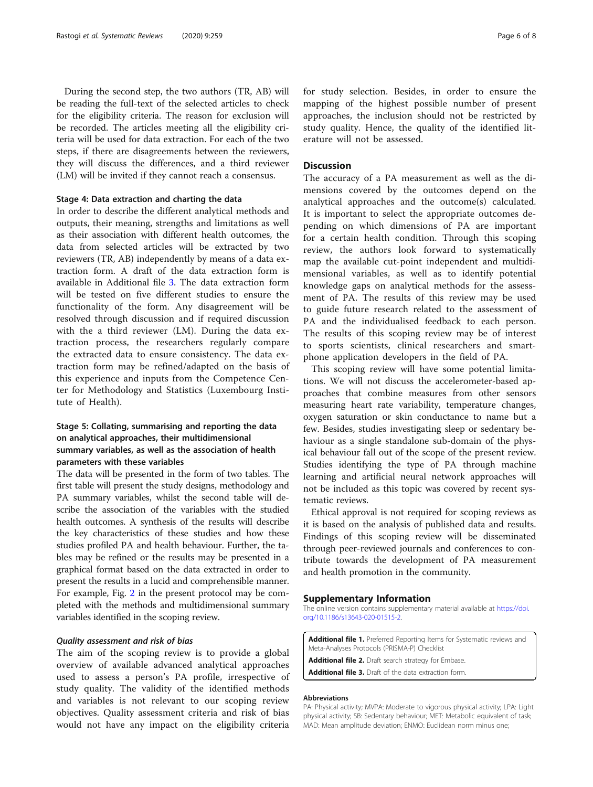<span id="page-5-0"></span>During the second step, the two authors (TR, AB) will be reading the full-text of the selected articles to check for the eligibility criteria. The reason for exclusion will be recorded. The articles meeting all the eligibility criteria will be used for data extraction. For each of the two steps, if there are disagreements between the reviewers, they will discuss the differences, and a third reviewer (LM) will be invited if they cannot reach a consensus.

### Stage 4: Data extraction and charting the data

In order to describe the different analytical methods and outputs, their meaning, strengths and limitations as well as their association with different health outcomes, the data from selected articles will be extracted by two reviewers (TR, AB) independently by means of a data extraction form. A draft of the data extraction form is available in Additional file 3. The data extraction form will be tested on five different studies to ensure the functionality of the form. Any disagreement will be resolved through discussion and if required discussion with the a third reviewer (LM). During the data extraction process, the researchers regularly compare the extracted data to ensure consistency. The data extraction form may be refined/adapted on the basis of this experience and inputs from the Competence Center for Methodology and Statistics (Luxembourg Institute of Health).

# Stage 5: Collating, summarising and reporting the data on analytical approaches, their multidimensional summary variables, as well as the association of health parameters with these variables

The data will be presented in the form of two tables. The first table will present the study designs, methodology and PA summary variables, whilst the second table will describe the association of the variables with the studied health outcomes. A synthesis of the results will describe the key characteristics of these studies and how these studies profiled PA and health behaviour. Further, the tables may be refined or the results may be presented in a graphical format based on the data extracted in order to present the results in a lucid and comprehensible manner. For example, Fig. [2](#page-4-0) in the present protocol may be completed with the methods and multidimensional summary variables identified in the scoping review.

#### Quality assessment and risk of bias

The aim of the scoping review is to provide a global overview of available advanced analytical approaches used to assess a person's PA profile, irrespective of study quality. The validity of the identified methods and variables is not relevant to our scoping review objectives. Quality assessment criteria and risk of bias would not have any impact on the eligibility criteria

for study selection. Besides, in order to ensure the mapping of the highest possible number of present approaches, the inclusion should not be restricted by study quality. Hence, the quality of the identified literature will not be assessed.

#### **Discussion**

The accuracy of a PA measurement as well as the dimensions covered by the outcomes depend on the analytical approaches and the outcome(s) calculated. It is important to select the appropriate outcomes depending on which dimensions of PA are important for a certain health condition. Through this scoping review, the authors look forward to systematically map the available cut-point independent and multidimensional variables, as well as to identify potential knowledge gaps on analytical methods for the assessment of PA. The results of this review may be used to guide future research related to the assessment of PA and the individualised feedback to each person. The results of this scoping review may be of interest to sports scientists, clinical researchers and smartphone application developers in the field of PA.

This scoping review will have some potential limitations. We will not discuss the accelerometer-based approaches that combine measures from other sensors measuring heart rate variability, temperature changes, oxygen saturation or skin conductance to name but a few. Besides, studies investigating sleep or sedentary behaviour as a single standalone sub-domain of the physical behaviour fall out of the scope of the present review. Studies identifying the type of PA through machine learning and artificial neural network approaches will not be included as this topic was covered by recent systematic reviews.

Ethical approval is not required for scoping reviews as it is based on the analysis of published data and results. Findings of this scoping review will be disseminated through peer-reviewed journals and conferences to contribute towards the development of PA measurement and health promotion in the community.

#### Supplementary Information

The online version contains supplementary material available at [https://doi.](https://doi.org/10.1186/s13643-020-01515-2) [org/10.1186/s13643-020-01515-2.](https://doi.org/10.1186/s13643-020-01515-2)

Additional file 1. Preferred Reporting Items for Systematic reviews and Meta-Analyses Protocols (PRISMA-P) Checklist

Additional file 2. Draft search strategy for Embase.

Additional file 3. Draft of the data extraction form.

#### Abbreviations

PA: Physical activity; MVPA: Moderate to vigorous physical activity; LPA: Light physical activity; SB: Sedentary behaviour; MET: Metabolic equivalent of task; MAD: Mean amplitude deviation; ENMO: Euclidean norm minus one;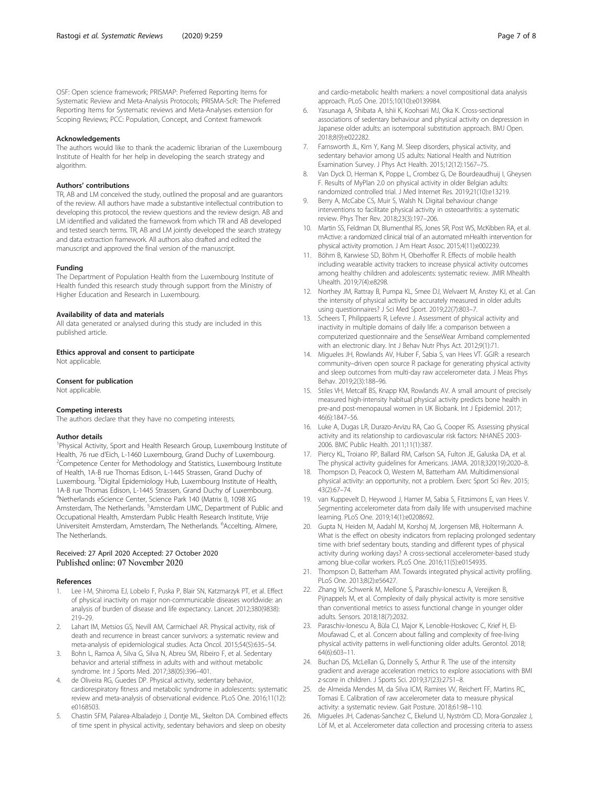<span id="page-6-0"></span>OSF: Open science framework; PRISMAP: Preferred Reporting Items for Systematic Review and Meta-Analysis Protocols; PRISMA-ScR: The Preferred Reporting Items for Systematic reviews and Meta-Analyses extension for Scoping Reviews; PCC: Population, Concept, and Context framework

#### Acknowledgements

The authors would like to thank the academic librarian of the Luxembourg Institute of Health for her help in developing the search strategy and algorithm.

#### Authors' contributions

TR, AB and LM conceived the study, outlined the proposal and are guarantors of the review. All authors have made a substantive intellectual contribution to developing this protocol, the review questions and the review design. AB and LM identified and validated the framework from which TR and AB developed and tested search terms. TR, AB and LM jointly developed the search strategy and data extraction framework. All authors also drafted and edited the manuscript and approved the final version of the manuscript.

#### Funding

The Department of Population Health from the Luxembourg Institute of Health funded this research study through support from the Ministry of Higher Education and Research in Luxembourg.

#### Availability of data and materials

All data generated or analysed during this study are included in this published article.

Ethics approval and consent to participate

Not applicable.

Not applicable.

#### Consent for publication

# Competing interests

The authors declare that they have no competing interests.

#### Author details

<sup>1</sup>Physical Activity, Sport and Health Research Group, Luxembourg Institute of Health, 76 rue d'Eich, L-1460 Luxembourg, Grand Duchy of Luxembourg. <sup>2</sup> <sup>2</sup> Competence Center for Methodology and Statistics, Luxembourg Institute of Health, 1A-B rue Thomas Edison, L-1445 Strassen, Grand Duchy of Luxembourg. <sup>3</sup>Digital Epidemiology Hub, Luxembourg Institute of Health, 1A-B rue Thomas Edison, L-1445 Strassen, Grand Duchy of Luxembourg. 4 Netherlands eScience Center, Science Park 140 (Matrix I), 1098 XG Amsterdam, The Netherlands. <sup>5</sup>Amsterdam UMC, Department of Public and Occupational Health, Amsterdam Public Health Research Institute, Vrije Universiteit Amsterdam, Amsterdam, The Netherlands. <sup>6</sup>Accelting, Almere, The Netherlands.

#### Received: 27 April 2020 Accepted: 27 October 2020 Published online: 07 November 2020

#### References

- 1. Lee I-M, Shiroma EJ, Lobelo F, Puska P, Blair SN, Katzmarzyk PT, et al. Effect of physical inactivity on major non-communicable diseases worldwide: an analysis of burden of disease and life expectancy. Lancet. 2012;380(9838): 219–29.
- Lahart IM, Metsios GS, Nevill AM, Carmichael AR. Physical activity, risk of death and recurrence in breast cancer survivors: a systematic review and meta-analysis of epidemiological studies. Acta Oncol. 2015;54(5):635–54.
- 3. Bohn L, Ramoa A, Silva G, Silva N, Abreu SM, Ribeiro F, et al. Sedentary behavior and arterial stiffness in adults with and without metabolic syndrome. Int J Sports Med. 2017;38(05):396–401.
- 4. de Oliveira RG, Guedes DP. Physical activity, sedentary behavior, cardiorespiratory fitness and metabolic syndrome in adolescents: systematic review and meta-analysis of observational evidence. PLoS One. 2016;11(12): e0168503.
- 5. Chastin SFM, Palarea-Albaladejo J, Dontje ML, Skelton DA. Combined effects of time spent in physical activity, sedentary behaviors and sleep on obesity

and cardio-metabolic health markers: a novel compositional data analysis approach. PLoS One. 2015;10(10):e0139984.

- 6. Yasunaga A, Shibata A, Ishii K, Koohsari MJ, Oka K. Cross-sectional associations of sedentary behaviour and physical activity on depression in Japanese older adults: an isotemporal substitution approach. BMJ Open. 2018;8(9):e022282.
- 7. Farnsworth JL, Kim Y, Kang M. Sleep disorders, physical activity, and sedentary behavior among US adults: National Health and Nutrition Examination Survey. J Phys Act Health. 2015;12(12):1567–75.
- 8. Van Dyck D, Herman K, Poppe L, Crombez G, De Bourdeaudhuij I, Gheysen F. Results of MyPlan 2.0 on physical activity in older Belgian adults: randomized controlled trial. J Med Internet Res. 2019;21(10):e13219.
- 9. Berry A, McCabe CS, Muir S, Walsh N. Digital behaviour change interventions to facilitate physical activity in osteoarthritis: a systematic review. Phys Ther Rev. 2018;23(3):197–206.
- 10. Martin SS, Feldman DI, Blumenthal RS, Jones SR, Post WS, McKibben RA, et al. mActive: a randomized clinical trial of an automated mHealth intervention for physical activity promotion. J Am Heart Assoc. 2015;4(11):e002239.
- 11. Böhm B, Karwiese SD, Böhm H, Oberhoffer R. Effects of mobile health including wearable activity trackers to increase physical activity outcomes among healthy children and adolescents: systematic review. JMIR Mhealth Uhealth. 2019;7(4):e8298.
- 12. Northey JM, Rattray B, Pumpa KL, Smee DJ, Welvaert M, Anstey KJ, et al. Can the intensity of physical activity be accurately measured in older adults using questionnaires? J Sci Med Sport. 2019;22(7):803–7.
- 13. Scheers T, Philippaerts R, Lefevre J. Assessment of physical activity and inactivity in multiple domains of daily life: a comparison between a computerized questionnaire and the SenseWear Armband complemented with an electronic diary. Int J Behav Nutr Phys Act. 2012;9(1):71.
- 14. Migueles JH, Rowlands AV, Huber F, Sabia S, van Hees VT. GGIR: a research community–driven open source R package for generating physical activity and sleep outcomes from multi-day raw accelerometer data. J Meas Phys Behav. 2019;2(3):188–96.
- 15. Stiles VH, Metcalf BS, Knapp KM, Rowlands AV. A small amount of precisely measured high-intensity habitual physical activity predicts bone health in pre-and post-menopausal women in UK Biobank. Int J Epidemiol. 2017; 46(6):1847–56.
- 16. Luke A, Dugas LR, Durazo-Arvizu RA, Cao G, Cooper RS. Assessing physical activity and its relationship to cardiovascular risk factors: NHANES 2003- 2006. BMC Public Health. 2011;11(1):387.
- 17. Piercy KL, Troiano RP, Ballard RM, Carlson SA, Fulton JE, Galuska DA, et al. The physical activity guidelines for Americans. JAMA. 2018;320(19):2020–8.
- 18. Thompson D, Peacock O, Western M, Batterham AM. Multidimensional physical activity: an opportunity, not a problem. Exerc Sport Sci Rev. 2015; 43(2):67–74.
- 19. van Kuppevelt D, Heywood J, Hamer M, Sabia S, Fitzsimons E, van Hees V. Segmenting accelerometer data from daily life with unsupervised machine learning. PLoS One. 2019;14(1):e0208692.
- 20. Gupta N, Heiden M, Aadahl M, Korshoj M, Jorgensen MB, Holtermann A. What is the effect on obesity indicators from replacing prolonged sedentary time with brief sedentary bouts, standing and different types of physical activity during working days? A cross-sectional accelerometer-based study among blue-collar workers. PLoS One. 2016;11(5):e0154935.
- 21. Thompson D, Batterham AM. Towards integrated physical activity profiling. PLoS One. 2013;8(2):e56427.
- 22. Zhang W, Schwenk M, Mellone S, Paraschiv-Ionescu A, Vereijken B, Pijnappels M, et al. Complexity of daily physical activity is more sensitive than conventional metrics to assess functional change in younger older adults. Sensors. 2018;18(7):2032.
- 23. Paraschiv-Ionescu A, Büla CJ, Major K, Lenoble-Hoskovec C, Krief H, El-Moufawad C, et al. Concern about falling and complexity of free-living physical activity patterns in well-functioning older adults. Gerontol. 2018; 64(6):603–11.
- 24. Buchan DS, McLellan G, Donnelly S, Arthur R. The use of the intensity gradient and average acceleration metrics to explore associations with BMI z-score in children. J Sports Sci. 2019;37(23):2751–8.
- 25. de Almeida Mendes M, da Silva ICM, Ramires VV, Reichert FF, Martins RC, Tomasi E. Calibration of raw accelerometer data to measure physical activity: a systematic review. Gait Posture. 2018;61:98–110.
- 26. Migueles JH, Cadenas-Sanchez C, Ekelund U, Nyström CD, Mora-Gonzalez J, Löf M, et al. Accelerometer data collection and processing criteria to assess